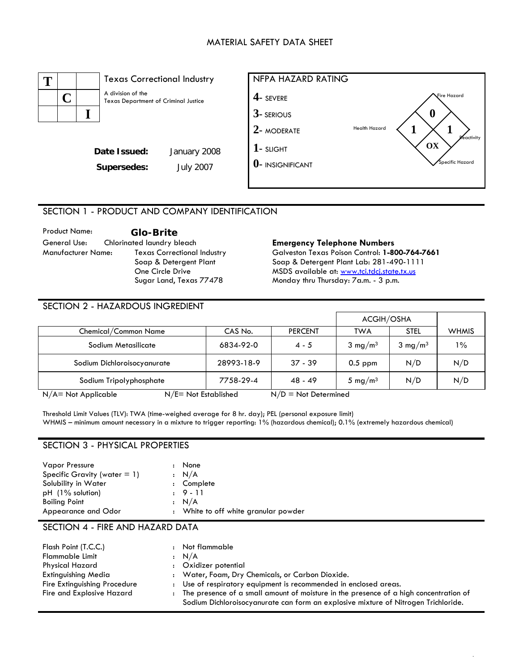### MATERIAL SAFETY DATA SHEET



# SECTION 1 - PRODUCT AND COMPANY IDENTIFICATION

Product Name: **Glo-Brite**  General Use: Chlorinated laundry bleach **Emergency Telephone Numbers**  Manufacturer Name: Texas Correctional Industry Soap & Detergent Plant One Circle Drive Sugar Land, Texas 77478

Г

Galveston Texas Poison Control: **1-800-764-7661**  Soap & Detergent Plant Lab: 281-490-1111 MSDS available at: www.tci.tdcj.state.tx.us Monday thru Thursday: 7a.m. - 3 p.m.

### SECTION 2 - HAZARDOUS INGREDIENT

|                                                   |            |                        | ACGIH/OSHA          |                    |              |
|---------------------------------------------------|------------|------------------------|---------------------|--------------------|--------------|
| Chemical/Common Name                              | CAS No.    | <b>PERCENT</b>         | TWA                 | <b>STEL</b>        | <b>WHMIS</b> |
| Sodium Metasilicate                               | 6834-92-0  | $4 - 5$                | $3 \text{ mg/m}^3$  | $3 \text{ mg/m}^3$ | $1\%$        |
| Sodium Dichloroisocyanurate                       | 28993-18-9 | $37 - 39$              | $0.5$ ppm           | N/D                | N/D          |
| Sodium Tripolyphosphate                           | 7758-29-4  | $48 - 49$              | 5 mg/m <sup>3</sup> | N/D                | N/D          |
| $N/E = Not$ Established<br>$N/A = Not Applicable$ |            | $N/D = Not$ Determined |                     |                    |              |

Threshold Limit Values (TLV): TWA (time-weighed average for 8 hr. day); PEL (personal exposure limit) WHMIS – minimum amount necessary in a mixture to trigger reporting: 1% (hazardous chemical); 0.1% (extremely hazardous chemical)

# SECTION 3 - PHYSICAL PROPERTIES

| <b>Vapor Pressure</b>           | None                                 |
|---------------------------------|--------------------------------------|
| Specific Gravity (water $= 1$ ) | : N/A                                |
| Solubility in Water             | : Complete                           |
| $pH$ (1% solution)              | $.9 - 11$                            |
| <b>Boiling Point</b>            | : N/A                                |
| Appearance and Odor             | : White to off white granular powder |

#### SECTION 4 - FIRE AND HAZARD DATA

| Flash Point (T.C.C.)         |                      | : Not flammable                                                                       |
|------------------------------|----------------------|---------------------------------------------------------------------------------------|
| <b>Flammable Limit</b>       |                      | : N/A                                                                                 |
| Physical Hazard              |                      | Oxidizer potential                                                                    |
| Extinguishing Media          |                      | : Water, Foam, Dry Chemicals, or Carbon Dioxide.                                      |
| Fire Extinguishing Procedure |                      | : Use of respiratory equipment is recommended in enclosed areas.                      |
| Fire and Explosive Hazard    | $\ddot{\phantom{a}}$ | The presence of a small amount of moisture in the presence of a high concentration of |
|                              |                      | Sodium Dichloroisocyanurate can form an explosive mixture of Nitrogen Trichloride.    |